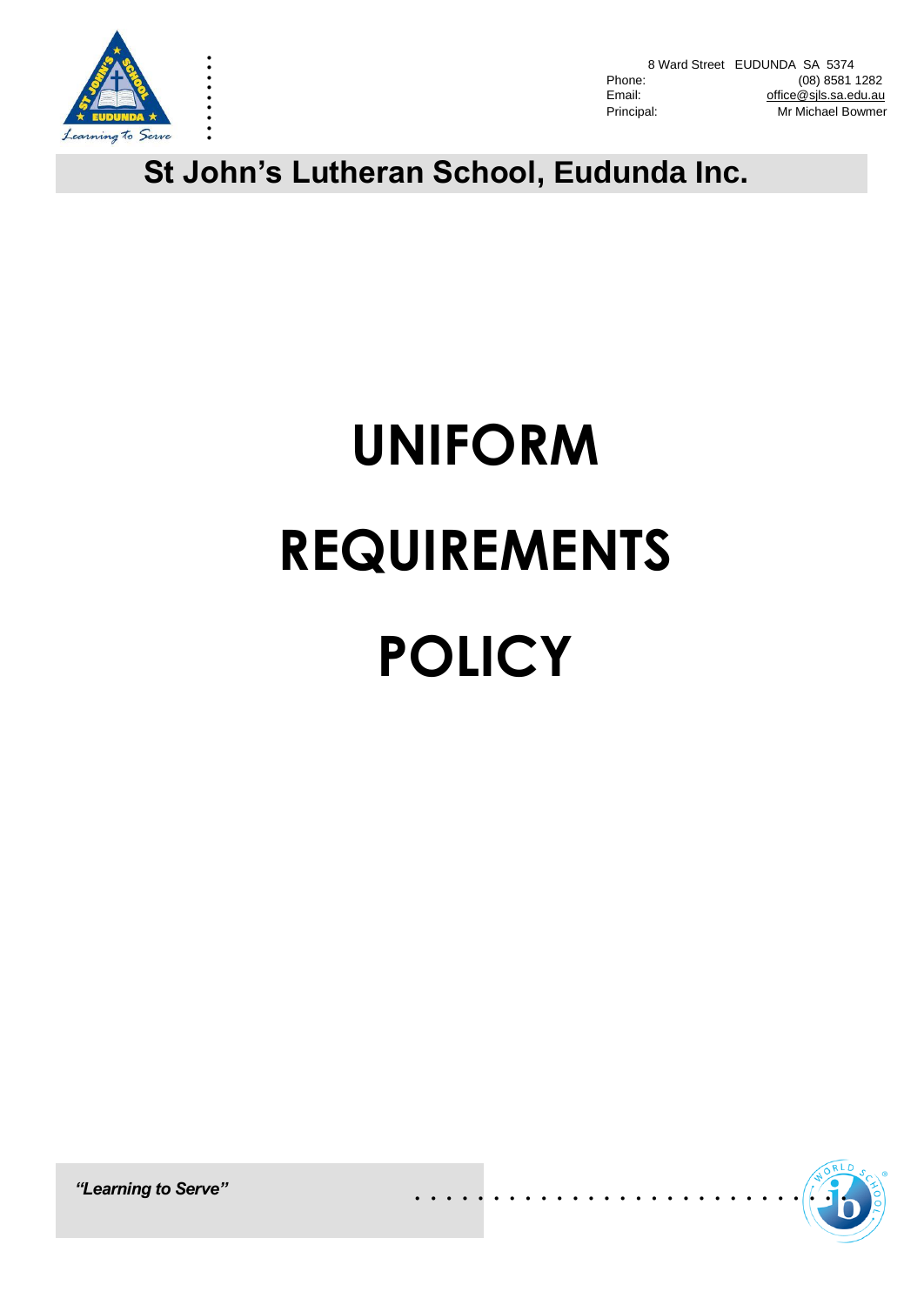

. . . . . . . . .

8 Ward Street EUDUNDA SA 5374<br>Phone: (08) 8581 Phone: (08) 8581 1282<br>Email: compared office@sils.sa.edu.au office@sils.sa.edu.au Principal: Mr Michael Bowmer

**St John's Lutheran School, Eudunda Inc.**

# **UNIFORM REQUIREMENTS POLICY**

. . . . . . . . . . . . . . . . . . . . . . . . . . . .

*"Learning to Serve"*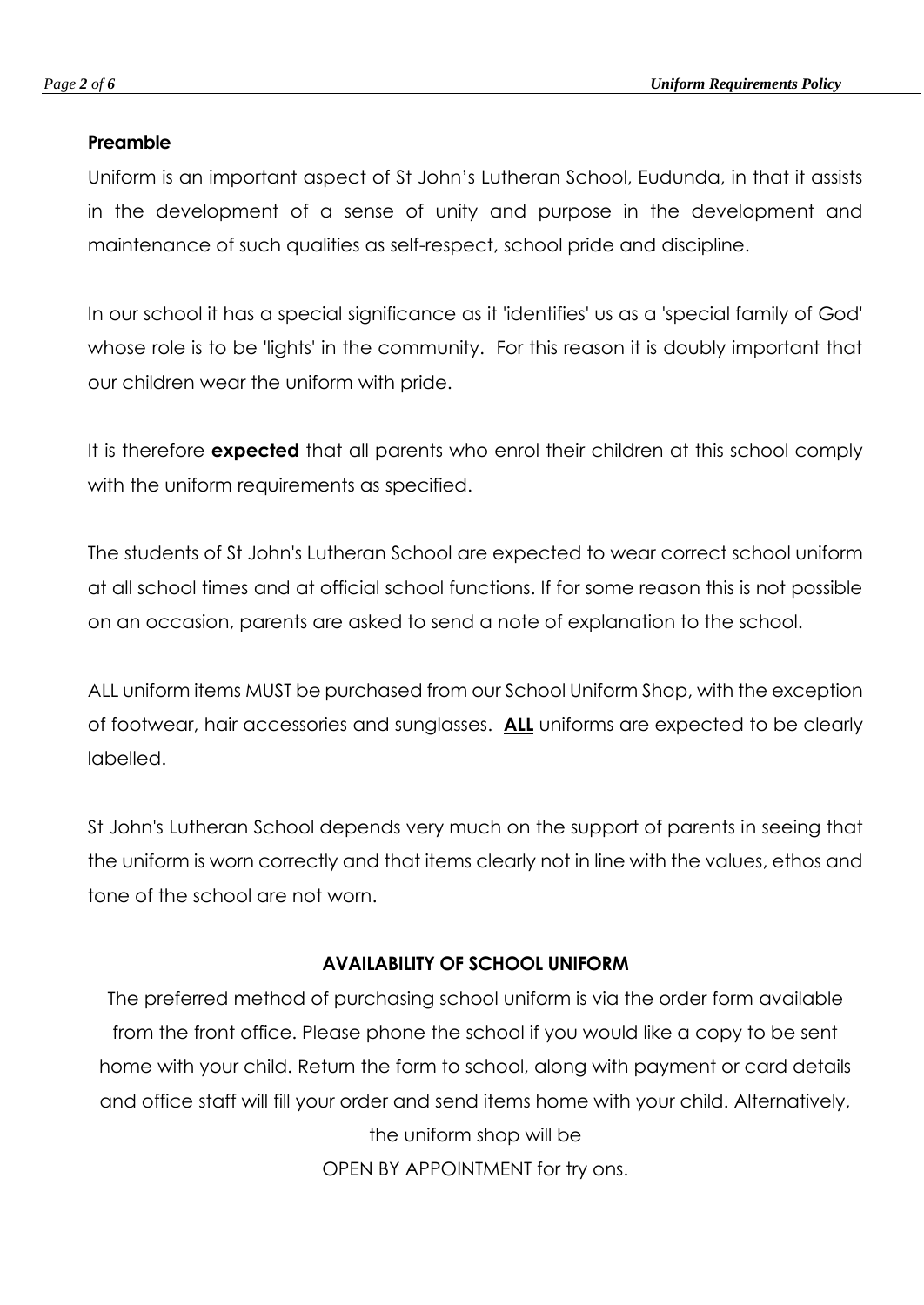# **Preamble**

Uniform is an important aspect of St John's Lutheran School, Eudunda, in that it assists in the development of a sense of unity and purpose in the development and maintenance of such qualities as self-respect, school pride and discipline.

In our school it has a special significance as it 'identifies' us as a 'special family of God' whose role is to be 'lights' in the community. For this reason it is doubly important that our children wear the uniform with pride.

It is therefore **expected** that all parents who enrol their children at this school comply with the uniform requirements as specified.

The students of St John's Lutheran School are expected to wear correct school uniform at all school times and at official school functions. If for some reason this is not possible on an occasion, parents are asked to send a note of explanation to the school.

ALL uniform items MUST be purchased from our School Uniform Shop, with the exception of footwear, hair accessories and sunglasses. **ALL** uniforms are expected to be clearly labelled.

St John's Lutheran School depends very much on the support of parents in seeing that the uniform is worn correctly and that items clearly not in line with the values, ethos and tone of the school are not worn.

# **AVAILABILITY OF SCHOOL UNIFORM**

The preferred method of purchasing school uniform is via the order form available from the front office. Please phone the school if you would like a copy to be sent home with your child. Return the form to school, along with payment or card details and office staff will fill your order and send items home with your child. Alternatively, the uniform shop will be OPEN BY APPOINTMENT for try ons.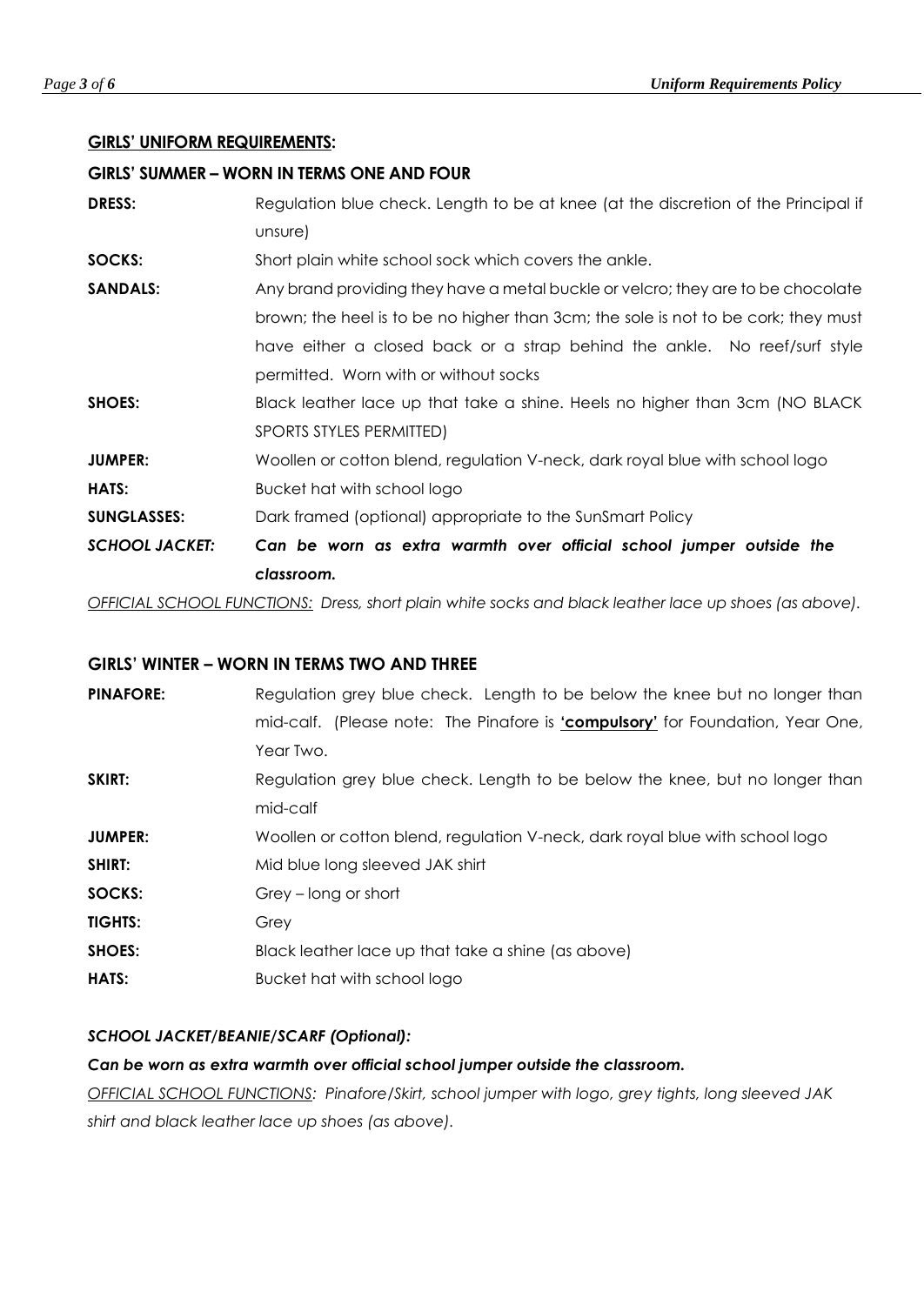# **GIRLS' UNIFORM REQUIREMENTS:**

### **GIRLS' SUMMER – WORN IN TERMS ONE AND FOUR**

| <b>SHOES:</b>         | Black leather lace up that take a shine. Heels no higher than 3cm (NO BLACK) |
|-----------------------|------------------------------------------------------------------------------|
|                       | SPORTS STYLES PERMITTED)                                                     |
| <b>JUMPER:</b>        | Woollen or cotton blend, regulation V-neck, dark royal blue with school logo |
| <b>HATS:</b>          | Bucket hat with school logo                                                  |
| <b>SUNGLASSES:</b>    | Dark framed (optional) appropriate to the SunSmart Policy                    |
| <b>SCHOOL JACKET:</b> | Can be worn as extra warmth over official school jumper outside the          |

*OFFICIAL SCHOOL FUNCTIONS: Dress, short plain white socks and black leather lace up shoes (as above).*

# **GIRLS' WINTER – WORN IN TERMS TWO AND THREE**

| <b>PINAFORE:</b> | Regulation grey blue check. Length to be below the knee but no longer than            |
|------------------|---------------------------------------------------------------------------------------|
|                  | mid-calf. (Please note: The Pinafore is <i>'compulsory'</i> for Foundation, Year One, |
|                  | Year Two.                                                                             |
| SKIRT:           | Regulation grey blue check. Length to be below the knee, but no longer than           |
|                  | mid-calf                                                                              |
| <b>JUMPER:</b>   | Woollen or cotton blend, regulation V-neck, dark royal blue with school logo          |
| SHIRT:           | Mid blue long sleeved JAK shirt                                                       |
| SOCKS:           | Grey – long or short                                                                  |
| <b>TIGHTS:</b>   | Grey                                                                                  |
| <b>SHOES:</b>    | Black leather lace up that take a shine (as above)                                    |
| <b>HATS:</b>     | Bucket hat with school logo                                                           |

# *SCHOOL JACKET/BEANIE/SCARF (Optional):*

# *Can be worn as extra warmth over official school jumper outside the classroom.*

*OFFICIAL SCHOOL FUNCTIONS: Pinafore/Skirt, school jumper with logo, grey tights, long sleeved JAK shirt and black leather lace up shoes (as above).*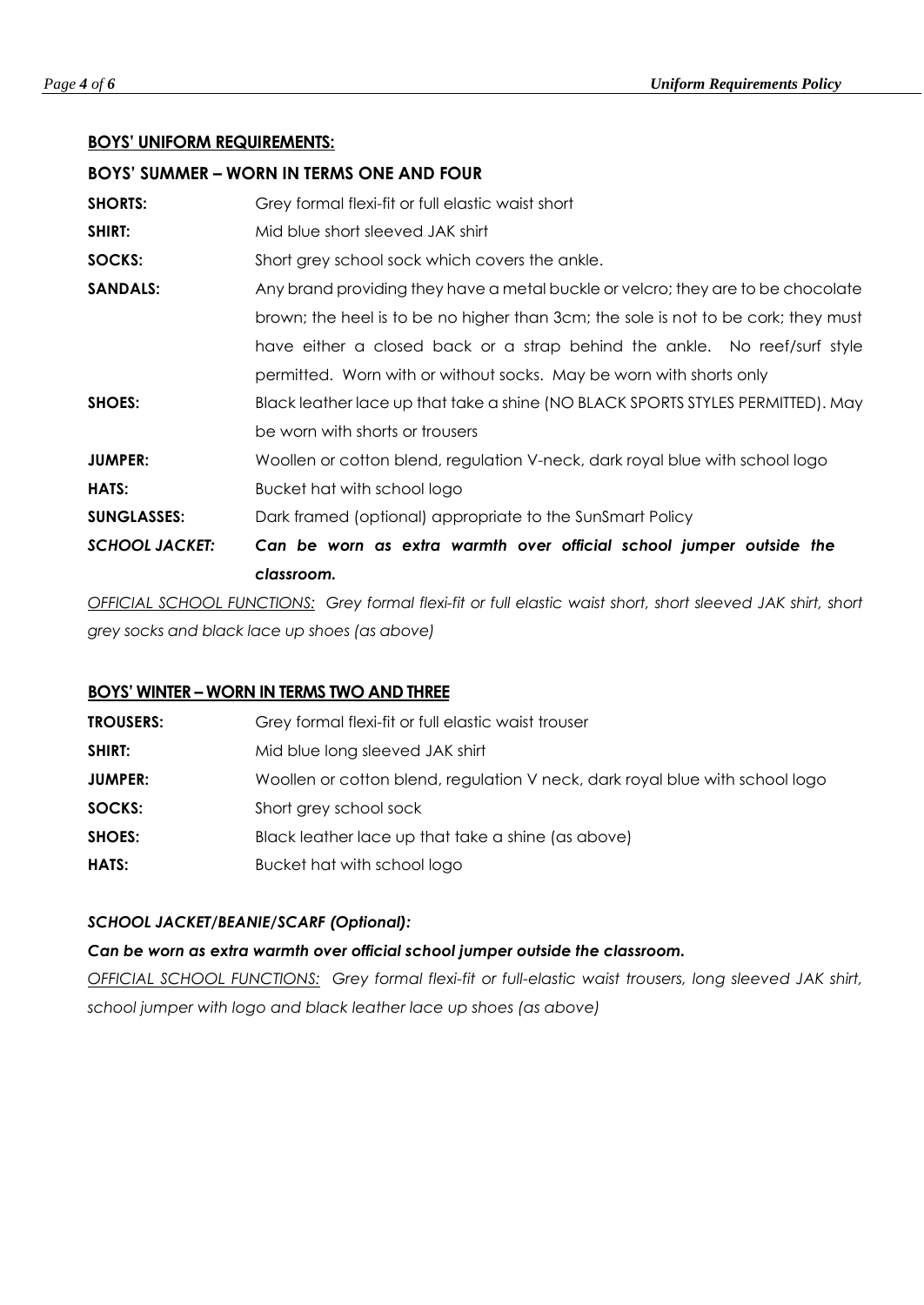# **BOYS' UNIFORM REQUIREMENTS:**

| <b>BOYS' SUMMER – WORN IN TERMS ONE AND FOUR</b> |                                                                                    |
|--------------------------------------------------|------------------------------------------------------------------------------------|
| <b>SHORTS:</b>                                   | Grey formal flexi-fit or full elastic waist short                                  |
| <b>SHIRT:</b>                                    | Mid blue short sleeved JAK shirt                                                   |
| SOCKS:                                           | Short grey school sock which covers the ankle.                                     |
| <b>SANDALS:</b>                                  | Any brand providing they have a metal buckle or velcro; they are to be chocolate   |
|                                                  | brown; the heel is to be no higher than 3cm; the sole is not to be cork; they must |
|                                                  | have either a closed back or a strap behind the ankle. No reef/surf style          |
|                                                  | permitted. Worn with or without socks. May be worn with shorts only                |
| <b>SHOES:</b>                                    | Black leather lace up that take a shine (NO BLACK SPORTS STYLES PERMITTED). May    |
|                                                  | be worn with shorts or trousers                                                    |
| <b>JUMPER:</b>                                   | Woollen or cotton blend, regulation V-neck, dark royal blue with school logo       |
| <b>HATS:</b>                                     | Bucket hat with school logo                                                        |
| <b>SUNGLASSES:</b>                               | Dark framed (optional) appropriate to the SunSmart Policy                          |
| <b>SCHOOL JACKET:</b>                            | Can be worn as extra warmth over official school jumper outside the                |
|                                                  | classroom.                                                                         |

*OFFICIAL SCHOOL FUNCTIONS: Grey formal flexi-fit or full elastic waist short, short sleeved JAK shirt, short grey socks and black lace up shoes (as above)*

# **BOYS' WINTER – WORN IN TERMS TWO AND THREE**

| <b>TROUSERS:</b> | Grey formal flexi-fit or full elastic waist trouser                          |
|------------------|------------------------------------------------------------------------------|
| SHIRT:           | Mid blue long sleeved JAK shirt                                              |
| <b>JUMPER:</b>   | Woollen or cotton blend, regulation V neck, dark royal blue with school logo |
| SOCKS:           | Short grey school sock                                                       |
| SHOES:           | Black leather lace up that take a shine (as above)                           |
| HATS:            | Bucket hat with school logo                                                  |

# *SCHOOL JACKET/BEANIE/SCARF (Optional):*

*Can be worn as extra warmth over official school jumper outside the classroom.*

*OFFICIAL SCHOOL FUNCTIONS: Grey formal flexi-fit or full-elastic waist trousers, long sleeved JAK shirt, school jumper with logo and black leather lace up shoes (as above)*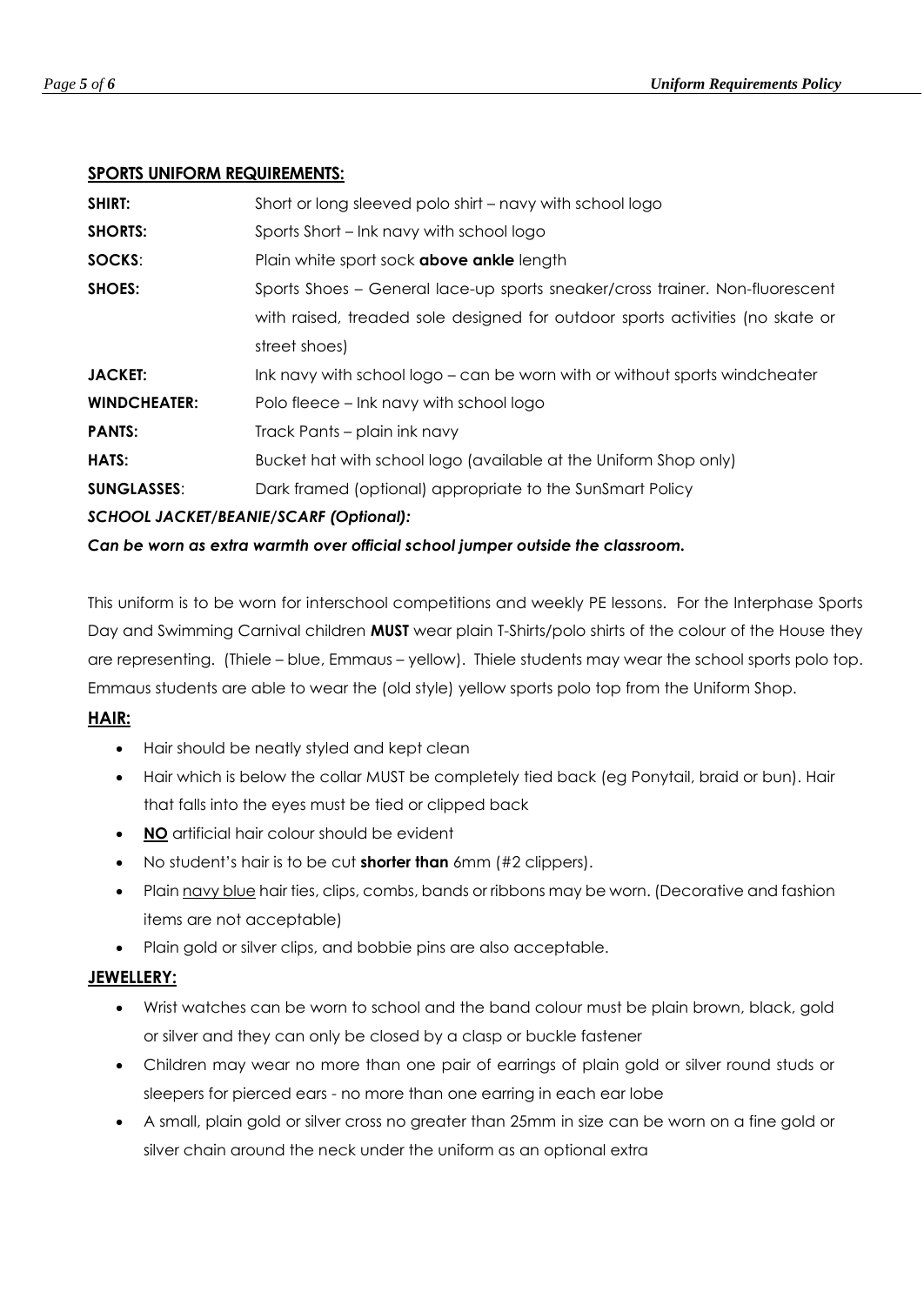# **SPORTS UNIFORM REQUIREMENTS:**

| <b>SHIRT:</b>       | Short or long sleeved polo shirt – navy with school logo                      |
|---------------------|-------------------------------------------------------------------------------|
| <b>SHORTS:</b>      | Sports Short – Ink navy with school logo                                      |
| SOCKS:              | Plain white sport sock <b>above ankle</b> length                              |
| SHOES:              | Sports Shoes - General lace-up sports sneaker/cross trainer. Non-fluorescent  |
|                     | with raised, treaded sole designed for outdoor sports activities (no skate or |
|                     | street shoes)                                                                 |
| <b>JACKET:</b>      | Ink navy with school logo – can be worn with or without sports windcheater    |
| <b>WINDCHEATER:</b> | Polo fleece – Ink navy with school logo                                       |
| <b>PANTS:</b>       | Track Pants – plain ink navy                                                  |
| HATS:               | Bucket hat with school logo (available at the Uniform Shop only)              |
| <b>SUNGLASSES:</b>  | Dark framed (optional) appropriate to the SunSmart Policy                     |
|                     | SCHOOL JACKET/BEANIE/SCARF (Optional):                                        |

# *Can be worn as extra warmth over official school jumper outside the classroom.*

This uniform is to be worn for interschool competitions and weekly PE lessons. For the Interphase Sports Day and Swimming Carnival children **MUST** wear plain T-Shirts/polo shirts of the colour of the House they are representing. (Thiele – blue, Emmaus – yellow). Thiele students may wear the school sports polo top. Emmaus students are able to wear the (old style) yellow sports polo top from the Uniform Shop.

# **HAIR:**

- Hair should be neatly styled and kept clean
- Hair which is below the collar MUST be completely tied back (eg Ponytail, braid or bun). Hair that falls into the eyes must be tied or clipped back
- **NO** artificial hair colour should be evident
- No student's hair is to be cut **shorter than** 6mm (#2 clippers).
- Plain navy blue hair ties, clips, combs, bands or ribbons may be worn. (Decorative and fashion items are not acceptable)
- Plain gold or silver clips, and bobbie pins are also acceptable.

# **JEWELLERY:**

- Wrist watches can be worn to school and the band colour must be plain brown, black, gold or silver and they can only be closed by a clasp or buckle fastener
- Children may wear no more than one pair of earrings of plain gold or silver round studs or sleepers for pierced ears - no more than one earring in each ear lobe
- A small, plain gold or silver cross no greater than 25mm in size can be worn on a fine gold or silver chain around the neck under the uniform as an optional extra